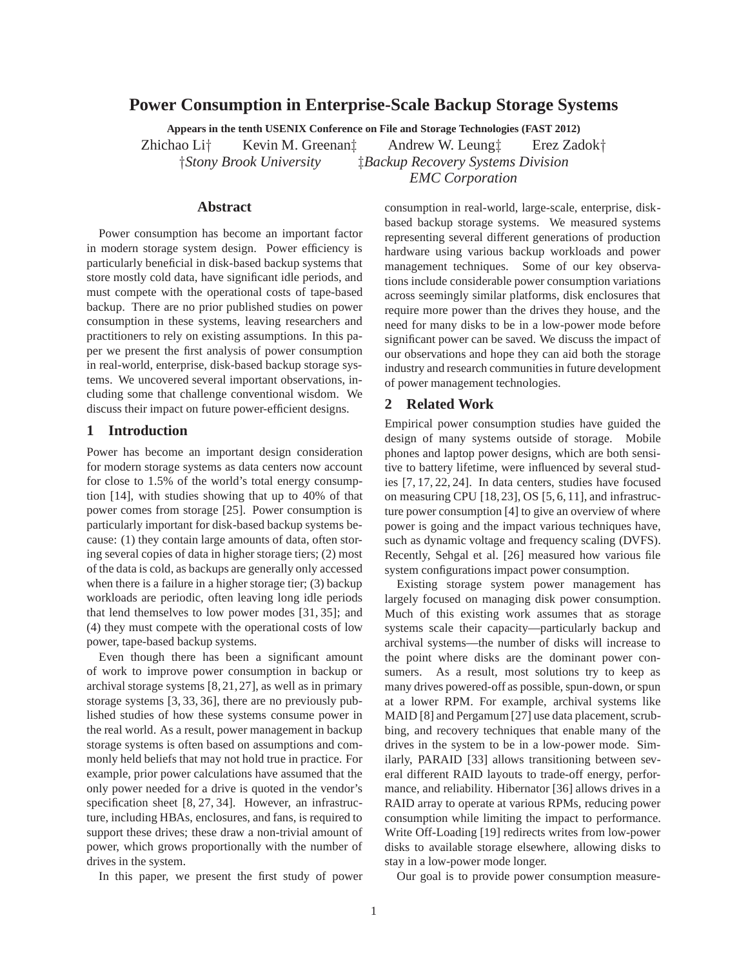# **Power Consumption in Enterprise-Scale Backup Storage Systems**

**Appears in the tenth USENIX Conference on File and Storage Technologies (FAST 2012)**

Zhichao Li† Kevin M. Greenan‡ Andrew W. Leung‡ Erez Zadok† †*Stony Brook University* ‡*Backup Recovery Systems Division EMC Corporation*

## **Abstract**

Power consumption has become an important factor in modern storage system design. Power efficiency is particularly beneficial in disk-based backup systems that store mostly cold data, have significant idle periods, and must compete with the operational costs of tape-based backup. There are no prior published studies on power consumption in these systems, leaving researchers and practitioners to rely on existing assumptions. In this paper we present the first analysis of power consumption in real-world, enterprise, disk-based backup storage systems. We uncovered several important observations, including some that challenge conventional wisdom. We discuss their impact on future power-efficient designs.

## **1 Introduction**

Power has become an important design consideration for modern storage systems as data centers now account for close to 1.5% of the world's total energy consumption [14], with studies showing that up to 40% of that power comes from storage [25]. Power consumption is particularly important for disk-based backup systems because: (1) they contain large amounts of data, often storing several copies of data in higher storage tiers; (2) most of the data is cold, as backups are generally only accessed when there is a failure in a higher storage tier; (3) backup workloads are periodic, often leaving long idle periods that lend themselves to low power modes [31, 35]; and (4) they must compete with the operational costs of low power, tape-based backup systems.

Even though there has been a significant amount of work to improve power consumption in backup or archival storage systems [8,21,27], as well as in primary storage systems [3, 33, 36], there are no previously published studies of how these systems consume power in the real world. As a result, power management in backup storage systems is often based on assumptions and commonly held beliefs that may not hold true in practice. For example, prior power calculations have assumed that the only power needed for a drive is quoted in the vendor's specification sheet [8, 27, 34]. However, an infrastructure, including HBAs, enclosures, and fans, is required to support these drives; these draw a non-trivial amount of power, which grows proportionally with the number of drives in the system.

In this paper, we present the first study of power

consumption in real-world, large-scale, enterprise, diskbased backup storage systems. We measured systems representing several different generations of production hardware using various backup workloads and power management techniques. Some of our key observations include considerable power consumption variations across seemingly similar platforms, disk enclosures that require more power than the drives they house, and the need for many disks to be in a low-power mode before significant power can be saved. We discuss the impact of our observations and hope they can aid both the storage industry and research communities in future development of power management technologies.

## **2 Related Work**

Empirical power consumption studies have guided the design of many systems outside of storage. Mobile phones and laptop power designs, which are both sensitive to battery lifetime, were influenced by several studies [7, 17, 22, 24]. In data centers, studies have focused on measuring CPU [18, 23], OS [5, 6, 11], and infrastructure power consumption [4] to give an overview of where power is going and the impact various techniques have, such as dynamic voltage and frequency scaling (DVFS). Recently, Sehgal et al. [26] measured how various file system configurations impact power consumption.

Existing storage system power management has largely focused on managing disk power consumption. Much of this existing work assumes that as storage systems scale their capacity—particularly backup and archival systems—the number of disks will increase to the point where disks are the dominant power consumers. As a result, most solutions try to keep as many drives powered-off as possible, spun-down, or spun at a lower RPM. For example, archival systems like MAID [8] and Pergamum [27] use data placement, scrubbing, and recovery techniques that enable many of the drives in the system to be in a low-power mode. Similarly, PARAID [33] allows transitioning between several different RAID layouts to trade-off energy, performance, and reliability. Hibernator [36] allows drives in a RAID array to operate at various RPMs, reducing power consumption while limiting the impact to performance. Write Off-Loading [19] redirects writes from low-power disks to available storage elsewhere, allowing disks to stay in a low-power mode longer.

Our goal is to provide power consumption measure-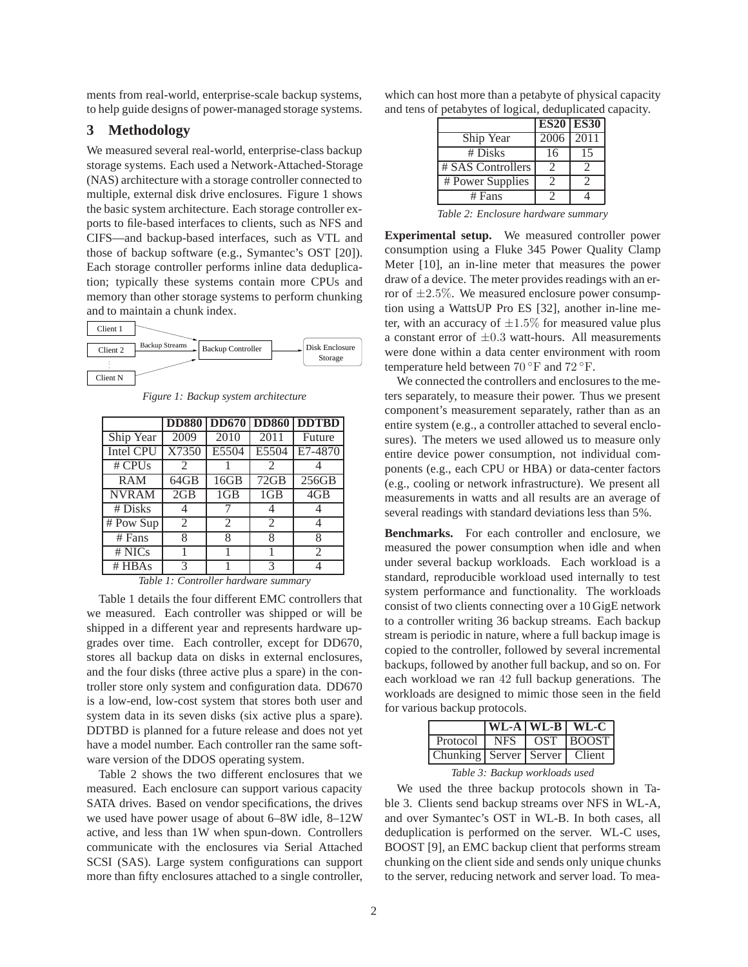ments from real-world, enterprise-scale backup systems, to help guide designs of power-managed storage systems.

# **3 Methodology**

We measured several real-world, enterprise-class backup storage systems. Each used a Network-Attached-Storage (NAS) architecture with a storage controller connected to multiple, external disk drive enclosures. Figure 1 shows the basic system architecture. Each storage controller exports to file-based interfaces to clients, such as NFS and CIFS—and backup-based interfaces, such as VTL and those of backup software (e.g., Symantec's OST [20]). Each storage controller performs inline data deduplication; typically these systems contain more CPUs and memory than other storage systems to perform chunking and to maintain a chunk index.



*Figure 1: Backup system architecture*

|                  |                |                             |                | <b>DD880 DD670 DD860 DDTBD</b> |
|------------------|----------------|-----------------------------|----------------|--------------------------------|
| Ship Year        | 2009           | 2010                        | 2011           | Future                         |
| <b>Intel CPU</b> | X7350          | E5504                       | E5504          | E7-4870                        |
| # CPUs           | 2              |                             | 2              |                                |
| <b>RAM</b>       | 64GB           | 16GB                        | 72GB           | 256GB                          |
| <b>NVRAM</b>     | 2GB            | 1GB                         | 1GB            | 4GB                            |
| # Disks          | 4              |                             | 4              |                                |
| # Pow Sup        | $\mathfrak{D}$ | $\mathcal{D}_{\mathcal{L}}$ | $\mathfrak{D}$ |                                |
| $#$ Fans         | 8              | 8                           | 8              | 8                              |
| # NICs           |                |                             |                | $\mathfrak{D}$                 |
| $#$ HBAs         | 3              |                             | 3              |                                |

| Table 1: Controller hardware summary |  |
|--------------------------------------|--|
|--------------------------------------|--|

Table 1 details the four different EMC controllers that we measured. Each controller was shipped or will be shipped in a different year and represents hardware upgrades over time. Each controller, except for DD670, stores all backup data on disks in external enclosures, and the four disks (three active plus a spare) in the controller store only system and configuration data. DD670 is a low-end, low-cost system that stores both user and system data in its seven disks (six active plus a spare). DDTBD is planned for a future release and does not yet have a model number. Each controller ran the same software version of the DDOS operating system.

Table 2 shows the two different enclosures that we measured. Each enclosure can support various capacity SATA drives. Based on vendor specifications, the drives we used have power usage of about 6–8W idle, 8–12W active, and less than 1W when spun-down. Controllers communicate with the enclosures via Serial Attached SCSI (SAS). Large system configurations can support more than fifty enclosures attached to a single controller, which can host more than a petabyte of physical capacity and tens of petabytes of logical, deduplicated capacity.

|                   |                   | <b>ES20 ES30</b> |
|-------------------|-------------------|------------------|
| Ship Year         | $\overline{2006}$ | 2011             |
| # Disks           | 16                | 15               |
| # SAS Controllers |                   |                  |
| # Power Supplies  |                   |                  |
| $#$ Fans          |                   |                  |

*Table 2: Enclosure hardware summary*

**Experimental setup.** We measured controller power consumption using a Fluke 345 Power Quality Clamp Meter [10], an in-line meter that measures the power draw of a device. The meter provides readings with an error of  $\pm 2.5\%$ . We measured enclosure power consumption using a WattsUP Pro ES [32], another in-line meter, with an accuracy of  $\pm 1.5\%$  for measured value plus a constant error of  $\pm 0.3$  watt-hours. All measurements were done within a data center environment with room temperature held between 70 ◦F and 72 ◦F.

We connected the controllers and enclosures to the meters separately, to measure their power. Thus we present component's measurement separately, rather than as an entire system (e.g., a controller attached to several enclosures). The meters we used allowed us to measure only entire device power consumption, not individual components (e.g., each CPU or HBA) or data-center factors (e.g., cooling or network infrastructure). We present all measurements in watts and all results are an average of several readings with standard deviations less than 5%.

**Benchmarks.** For each controller and enclosure, we measured the power consumption when idle and when under several backup workloads. Each workload is a standard, reproducible workload used internally to test system performance and functionality. The workloads consist of two clients connecting over a 10 GigE network to a controller writing 36 backup streams. Each backup stream is periodic in nature, where a full backup image is copied to the controller, followed by several incremental backups, followed by another full backup, and so on. For each workload we ran 42 full backup generations. The workloads are designed to mimic those seen in the field for various backup protocols.

|                                   |  | $ WLA WL-B WL-C$ |
|-----------------------------------|--|------------------|
| Protocol NFS                      |  | $OST$ BOOST      |
| Chunking Server   Server   Client |  |                  |

*Table 3: Backup workloads used*

We used the three backup protocols shown in Table 3. Clients send backup streams over NFS in WL-A, and over Symantec's OST in WL-B. In both cases, all deduplication is performed on the server. WL-C uses, BOOST [9], an EMC backup client that performs stream chunking on the client side and sends only unique chunks to the server, reducing network and server load. To mea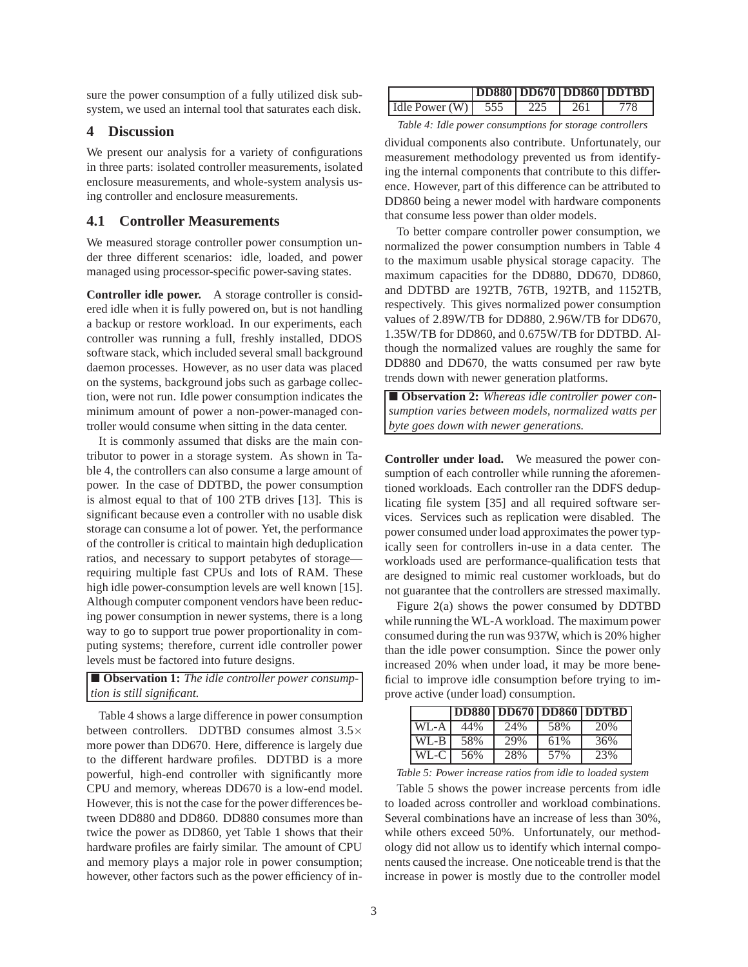sure the power consumption of a fully utilized disk subsystem, we used an internal tool that saturates each disk.

#### **4 Discussion**

We present our analysis for a variety of configurations in three parts: isolated controller measurements, isolated enclosure measurements, and whole-system analysis using controller and enclosure measurements.

## **4.1 Controller Measurements**

We measured storage controller power consumption under three different scenarios: idle, loaded, and power managed using processor-specific power-saving states.

**Controller idle power.** A storage controller is considered idle when it is fully powered on, but is not handling a backup or restore workload. In our experiments, each controller was running a full, freshly installed, DDOS software stack, which included several small background daemon processes. However, as no user data was placed on the systems, background jobs such as garbage collection, were not run. Idle power consumption indicates the minimum amount of power a non-power-managed controller would consume when sitting in the data center.

It is commonly assumed that disks are the main contributor to power in a storage system. As shown in Table 4, the controllers can also consume a large amount of power. In the case of DDTBD, the power consumption is almost equal to that of 100 2TB drives [13]. This is significant because even a controller with no usable disk storage can consume a lot of power. Yet, the performance of the controller is critical to maintain high deduplication ratios, and necessary to support petabytes of storage requiring multiple fast CPUs and lots of RAM. These high idle power-consumption levels are well known [15]. Although computer component vendors have been reducing power consumption in newer systems, there is a long way to go to support true power proportionality in computing systems; therefore, current idle controller power levels must be factored into future designs.

 **Observation 1:** *The idle controller power consumption is still significant.*

Table 4 shows a large difference in power consumption between controllers. DDTBD consumes almost 3.5× more power than DD670. Here, difference is largely due to the different hardware profiles. DDTBD is a more powerful, high-end controller with significantly more CPU and memory, whereas DD670 is a low-end model. However, this is not the case for the power differences between DD880 and DD860. DD880 consumes more than twice the power as DD860, yet Table 1 shows that their hardware profiles are fairly similar. The amount of CPU and memory plays a major role in power consumption; however, other factors such as the power efficiency of in-

|                        |     |     | <b>DD880 DD670 DD860 DDTBD</b> |
|------------------------|-----|-----|--------------------------------|
| Idle Power $(W)$   555 | 225 | 261 | 778                            |

*Table 4: Idle power consumptions for storage controllers*

dividual components also contribute. Unfortunately, our measurement methodology prevented us from identifying the internal components that contribute to this difference. However, part of this difference can be attributed to DD860 being a newer model with hardware components that consume less power than older models.

To better compare controller power consumption, we normalized the power consumption numbers in Table 4 to the maximum usable physical storage capacity. The maximum capacities for the DD880, DD670, DD860, and DDTBD are 192TB, 76TB, 192TB, and 1152TB, respectively. This gives normalized power consumption values of 2.89W/TB for DD880, 2.96W/TB for DD670, 1.35W/TB for DD860, and 0.675W/TB for DDTBD. Although the normalized values are roughly the same for DD880 and DD670, the watts consumed per raw byte trends down with newer generation platforms.

 **Observation 2:** *Whereas idle controller power consumption varies between models, normalized watts per byte goes down with newer generations.*

**Controller under load.** We measured the power consumption of each controller while running the aforementioned workloads. Each controller ran the DDFS deduplicating file system [35] and all required software services. Services such as replication were disabled. The power consumed under load approximates the power typically seen for controllers in-use in a data center. The workloads used are performance-qualification tests that are designed to mimic real customer workloads, but do not guarantee that the controllers are stressed maximally.

Figure 2(a) shows the power consumed by DDTBD while running the WL-A workload. The maximum power consumed during the run was 937W, which is 20% higher than the idle power consumption. Since the power only increased 20% when under load, it may be more beneficial to improve idle consumption before trying to improve active (under load) consumption.

|          |     |     |     | <b>DD880   DD670   DD860   DDTBD</b> |
|----------|-----|-----|-----|--------------------------------------|
| $WI - A$ | 44% | 24% | 58% | 20%                                  |
| WL-B     | 58% | 29% | 61% | 36%                                  |
| WL-C     | 56% | 28% | 57% | 23%                                  |

*Table 5: Power increase ratios from idle to loaded system*

Table 5 shows the power increase percents from idle to loaded across controller and workload combinations. Several combinations have an increase of less than 30%, while others exceed 50%. Unfortunately, our methodology did not allow us to identify which internal components caused the increase. One noticeable trend is that the increase in power is mostly due to the controller model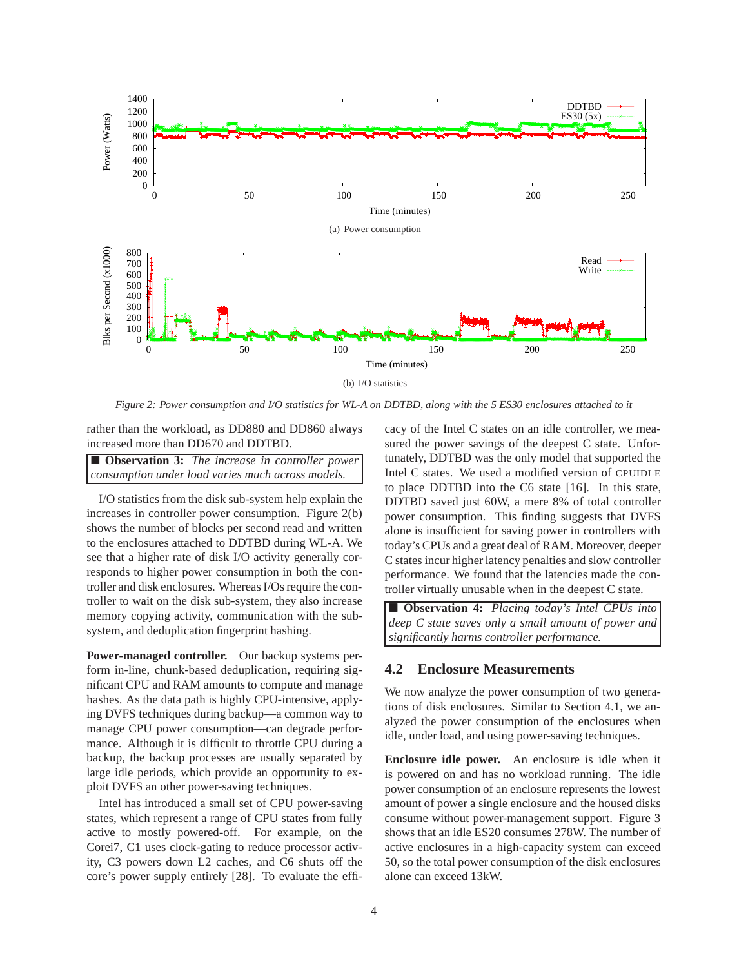

*Figure 2: Power consumption and I/O statistics for WL-A on DDTBD, along with the 5 ES30 enclosures attached to it*

rather than the workload, as DD880 and DD860 always increased more than DD670 and DDTBD.

 **Observation 3:** *The increase in controller power consumption under load varies much across models.*

I/O statistics from the disk sub-system help explain the increases in controller power consumption. Figure 2(b) shows the number of blocks per second read and written to the enclosures attached to DDTBD during WL-A. We see that a higher rate of disk I/O activity generally corresponds to higher power consumption in both the controller and disk enclosures. Whereas I/Os require the controller to wait on the disk sub-system, they also increase memory copying activity, communication with the subsystem, and deduplication fingerprint hashing.

**Power-managed controller.** Our backup systems perform in-line, chunk-based deduplication, requiring significant CPU and RAM amounts to compute and manage hashes. As the data path is highly CPU-intensive, applying DVFS techniques during backup—a common way to manage CPU power consumption—can degrade performance. Although it is difficult to throttle CPU during a backup, the backup processes are usually separated by large idle periods, which provide an opportunity to exploit DVFS an other power-saving techniques.

Intel has introduced a small set of CPU power-saving states, which represent a range of CPU states from fully active to mostly powered-off. For example, on the Corei7, C1 uses clock-gating to reduce processor activity, C3 powers down L2 caches, and C6 shuts off the core's power supply entirely [28]. To evaluate the efficacy of the Intel C states on an idle controller, we measured the power savings of the deepest C state. Unfortunately, DDTBD was the only model that supported the Intel C states. We used a modified version of CPUIDLE to place DDTBD into the C6 state [16]. In this state, DDTBD saved just 60W, a mere 8% of total controller power consumption. This finding suggests that DVFS alone is insufficient for saving power in controllers with today's CPUs and a great deal of RAM. Moreover, deeper C states incur higher latency penalties and slow controller performance. We found that the latencies made the controller virtually unusable when in the deepest C state.

 **Observation 4:** *Placing today's Intel CPUs into deep C state saves only a small amount of power and significantly harms controller performance.*

## **4.2 Enclosure Measurements**

We now analyze the power consumption of two generations of disk enclosures. Similar to Section 4.1, we analyzed the power consumption of the enclosures when idle, under load, and using power-saving techniques.

**Enclosure idle power.** An enclosure is idle when it is powered on and has no workload running. The idle power consumption of an enclosure represents the lowest amount of power a single enclosure and the housed disks consume without power-management support. Figure 3 shows that an idle ES20 consumes 278W. The number of active enclosures in a high-capacity system can exceed 50, so the total power consumption of the disk enclosures alone can exceed 13kW.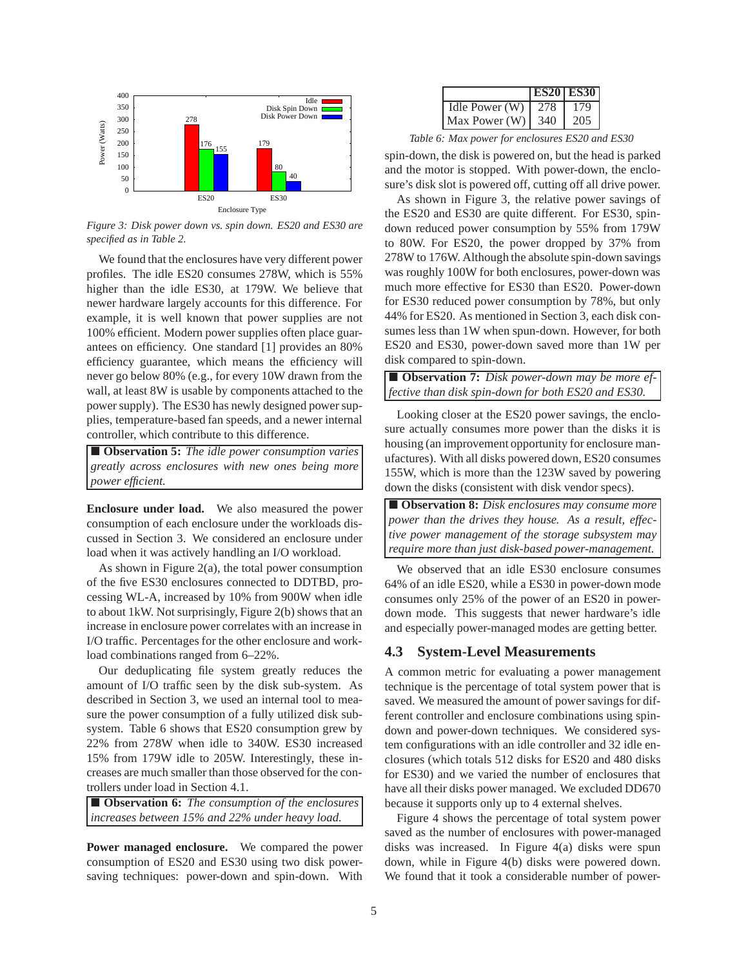

*Figure 3: Disk power down vs. spin down. ES20 and ES30 are specified as in Table 2.*

We found that the enclosures have very different power profiles. The idle ES20 consumes 278W, which is 55% higher than the idle ES30, at 179W. We believe that newer hardware largely accounts for this difference. For example, it is well known that power supplies are not 100% efficient. Modern power supplies often place guarantees on efficiency. One standard [1] provides an 80% efficiency guarantee, which means the efficiency will never go below 80% (e.g., for every 10W drawn from the wall, at least 8W is usable by components attached to the power supply). The ES30 has newly designed power supplies, temperature-based fan speeds, and a newer internal controller, which contribute to this difference.

 **Observation 5:** *The idle power consumption varies greatly across enclosures with new ones being more power efficient.*

**Enclosure under load.** We also measured the power consumption of each enclosure under the workloads discussed in Section 3. We considered an enclosure under load when it was actively handling an I/O workload.

As shown in Figure 2(a), the total power consumption of the five ES30 enclosures connected to DDTBD, processing WL-A, increased by 10% from 900W when idle to about 1kW. Not surprisingly, Figure 2(b) shows that an increase in enclosure power correlates with an increase in I/O traffic. Percentages for the other enclosure and workload combinations ranged from 6–22%.

Our deduplicating file system greatly reduces the amount of I/O traffic seen by the disk sub-system. As described in Section 3, we used an internal tool to measure the power consumption of a fully utilized disk subsystem. Table 6 shows that ES20 consumption grew by 22% from 278W when idle to 340W. ES30 increased 15% from 179W idle to 205W. Interestingly, these increases are much smaller than those observed for the controllers under load in Section 4.1.

 **Observation 6:** *The consumption of the enclosures increases between 15% and 22% under heavy load.*

**Power managed enclosure.** We compared the power consumption of ES20 and ES30 using two disk powersaving techniques: power-down and spin-down. With

|                |     | <b>ES20 ES30</b> |
|----------------|-----|------------------|
| Idle Power (W) |     |                  |
| Max Power (W)  | 340 |                  |

*Table 6: Max power for enclosures ES20 and ES30*

spin-down, the disk is powered on, but the head is parked and the motor is stopped. With power-down, the enclosure's disk slot is powered off, cutting off all drive power.

As shown in Figure 3, the relative power savings of the ES20 and ES30 are quite different. For ES30, spindown reduced power consumption by 55% from 179W to 80W. For ES20, the power dropped by 37% from 278W to 176W. Although the absolute spin-down savings was roughly 100W for both enclosures, power-down was much more effective for ES30 than ES20. Power-down for ES30 reduced power consumption by 78%, but only 44% for ES20. As mentioned in Section 3, each disk consumes less than 1W when spun-down. However, for both ES20 and ES30, power-down saved more than 1W per disk compared to spin-down.

 **Observation 7:** *Disk power-down may be more effective than disk spin-down for both ES20 and ES30.*

Looking closer at the ES20 power savings, the enclosure actually consumes more power than the disks it is housing (an improvement opportunity for enclosure manufactures). With all disks powered down, ES20 consumes 155W, which is more than the 123W saved by powering down the disks (consistent with disk vendor specs).

 **Observation 8:** *Disk enclosures may consume more power than the drives they house. As a result, effective power management of the storage subsystem may require more than just disk-based power-management.*

We observed that an idle ES30 enclosure consumes 64% of an idle ES20, while a ES30 in power-down mode consumes only 25% of the power of an ES20 in powerdown mode. This suggests that newer hardware's idle and especially power-managed modes are getting better.

# **4.3 System-Level Measurements**

A common metric for evaluating a power management technique is the percentage of total system power that is saved. We measured the amount of power savings for different controller and enclosure combinations using spindown and power-down techniques. We considered system configurations with an idle controller and 32 idle enclosures (which totals 512 disks for ES20 and 480 disks for ES30) and we varied the number of enclosures that have all their disks power managed. We excluded DD670 because it supports only up to 4 external shelves.

Figure 4 shows the percentage of total system power saved as the number of enclosures with power-managed disks was increased. In Figure 4(a) disks were spun down, while in Figure 4(b) disks were powered down. We found that it took a considerable number of power-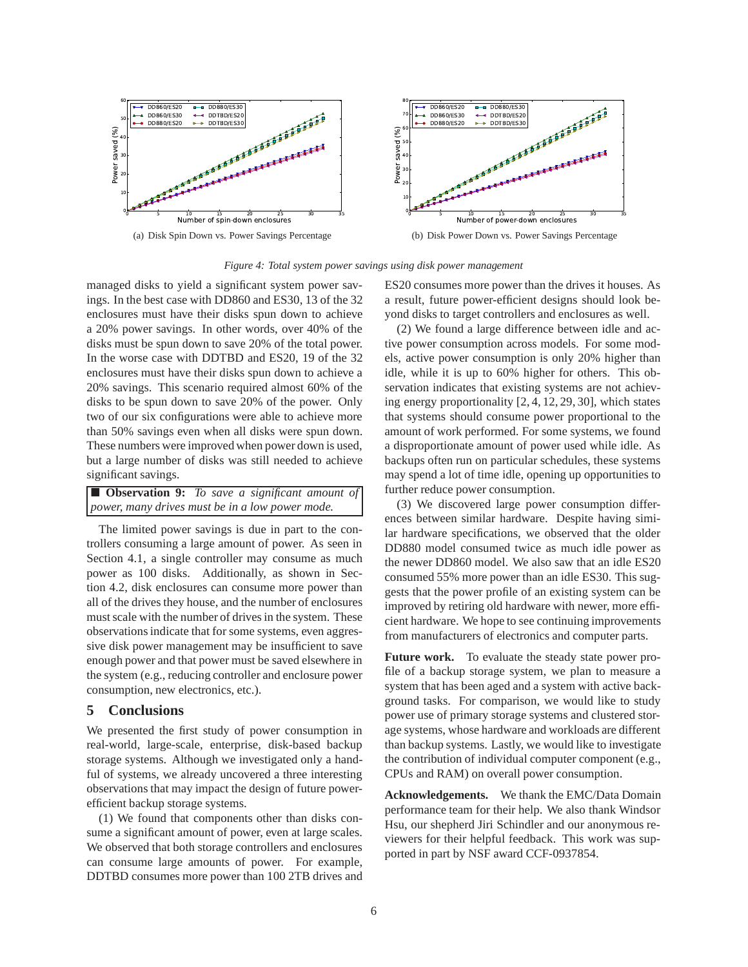

*Figure 4: Total system power savings using disk power management*

managed disks to yield a significant system power savings. In the best case with DD860 and ES30, 13 of the 32 enclosures must have their disks spun down to achieve a 20% power savings. In other words, over 40% of the disks must be spun down to save 20% of the total power. In the worse case with DDTBD and ES20, 19 of the 32 enclosures must have their disks spun down to achieve a 20% savings. This scenario required almost 60% of the disks to be spun down to save 20% of the power. Only two of our six configurations were able to achieve more than 50% savings even when all disks were spun down. These numbers were improved when power down is used, but a large number of disks was still needed to achieve significant savings.

| <b>Deservation 9:</b> To save a significant amount of |  |  |  |
|-------------------------------------------------------|--|--|--|
| power, many drives must be in a low power mode.       |  |  |  |

The limited power savings is due in part to the controllers consuming a large amount of power. As seen in Section 4.1, a single controller may consume as much power as 100 disks. Additionally, as shown in Section 4.2, disk enclosures can consume more power than all of the drives they house, and the number of enclosures must scale with the number of drives in the system. These observations indicate that for some systems, even aggressive disk power management may be insufficient to save enough power and that power must be saved elsewhere in the system (e.g., reducing controller and enclosure power consumption, new electronics, etc.).

#### **5 Conclusions**

We presented the first study of power consumption in real-world, large-scale, enterprise, disk-based backup storage systems. Although we investigated only a handful of systems, we already uncovered a three interesting observations that may impact the design of future powerefficient backup storage systems.

(1) We found that components other than disks consume a significant amount of power, even at large scales. We observed that both storage controllers and enclosures can consume large amounts of power. For example, DDTBD consumes more power than 100 2TB drives and ES20 consumes more power than the drives it houses. As a result, future power-efficient designs should look beyond disks to target controllers and enclosures as well.

(2) We found a large difference between idle and active power consumption across models. For some models, active power consumption is only 20% higher than idle, while it is up to 60% higher for others. This observation indicates that existing systems are not achieving energy proportionality [2, 4, 12, 29, 30], which states that systems should consume power proportional to the amount of work performed. For some systems, we found a disproportionate amount of power used while idle. As backups often run on particular schedules, these systems may spend a lot of time idle, opening up opportunities to further reduce power consumption.

(3) We discovered large power consumption differences between similar hardware. Despite having similar hardware specifications, we observed that the older DD880 model consumed twice as much idle power as the newer DD860 model. We also saw that an idle ES20 consumed 55% more power than an idle ES30. This suggests that the power profile of an existing system can be improved by retiring old hardware with newer, more efficient hardware. We hope to see continuing improvements from manufacturers of electronics and computer parts.

**Future work.** To evaluate the steady state power profile of a backup storage system, we plan to measure a system that has been aged and a system with active background tasks. For comparison, we would like to study power use of primary storage systems and clustered storage systems, whose hardware and workloads are different than backup systems. Lastly, we would like to investigate the contribution of individual computer component (e.g., CPUs and RAM) on overall power consumption.

**Acknowledgements.** We thank the EMC/Data Domain performance team for their help. We also thank Windsor Hsu, our shepherd Jiri Schindler and our anonymous reviewers for their helpful feedback. This work was supported in part by NSF award CCF-0937854.